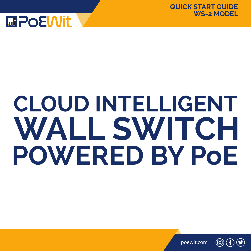

# **CLOUD INTELLIGENT WALL SWITCH POWERED BY PoE**

poewit.com

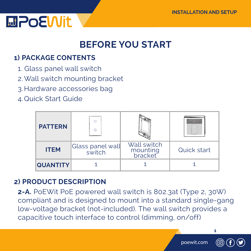

### **BEFORE YOU START**

#### **1) PACKAGE CONTENTS**

- 1. Glass panel wall switch
- 2.Wall switch mounting bracket
- 3.Hardware accessories bag
- 4.Quick Start Guide

| <b>PATTERN</b>  | Ò                          |                                    | <b>Sen Well furter</b><br><b>WEST</b> |
|-----------------|----------------------------|------------------------------------|---------------------------------------|
| <b>ITEM</b>     | Glass panel wall<br>switch | Wall switch<br>mounting<br>bracket | Quick start                           |
| <b>QUANTITY</b> |                            |                                    |                                       |

#### **2) PRODUCT DESCRIPTION**

**2-A.** PoEWit PoE powered wall switch is 802.3at (Type 2, 30W) compliant and is designed to mount into a standard single-gang low-voltage bracket (not-included). The wall switch provides a capacitive touch interface to control (dimming, on/off)

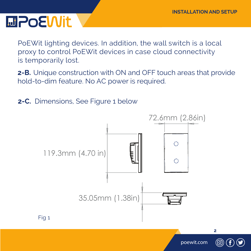PoEWit lighting devices. In addition, the wall switch is a local proxy to control PoEWit devices in case cloud connectivity is temporarily lost.

 **2-B.** Unique construction with ON and OFF touch areas that provide hold-to-dim feature. No AC power is required.

**2-C.** Dimensions, See Figure 1 below

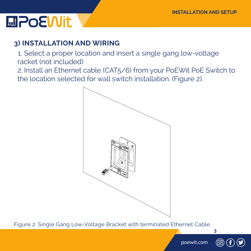#### **3) INSTALLATION AND WIRING**

1. Select a proper location and insert a single gang low-voltage racket (not included)

 2. Install an Ethernet cable (CAT5/6) from your PoEWit PoE Switch to the location selected for wall switch installation. (Figure 2).



Figure 2. Single Gang Low-Voltage Bracket with terminated Ethernet Cable

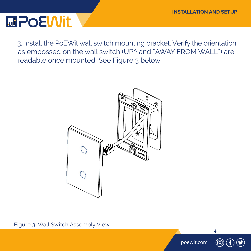3. Install the PoEWit wall switch mounting bracket. Verify the orientation as embossed on the wall switch (UP^ and "AWAY FROM WALL") are readable once mounted. See Figure 3 below



Figure 3. Wall Switch Assembly View



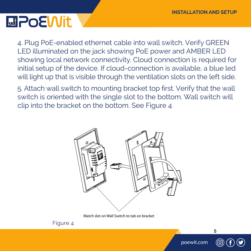4. Plug PoE-enabled ethernet cable into wall switch. Verify GREEN LED illuminated on the jack showing PoE power and AMBER LED showing local network connectivity. Cloud connection is required for initial setup of the device. If cloud-connection is available, a blue led will light up that is visible through the ventilation slots on the left side.

 5. Attach wall switch to mounting bracket top first. Verify that the wall switch is oriented with the single slot to the bottom. Wall switch will clip into the bracket on the bottom. See Figure 4



Match slot on Wall Switch to tab on bracket